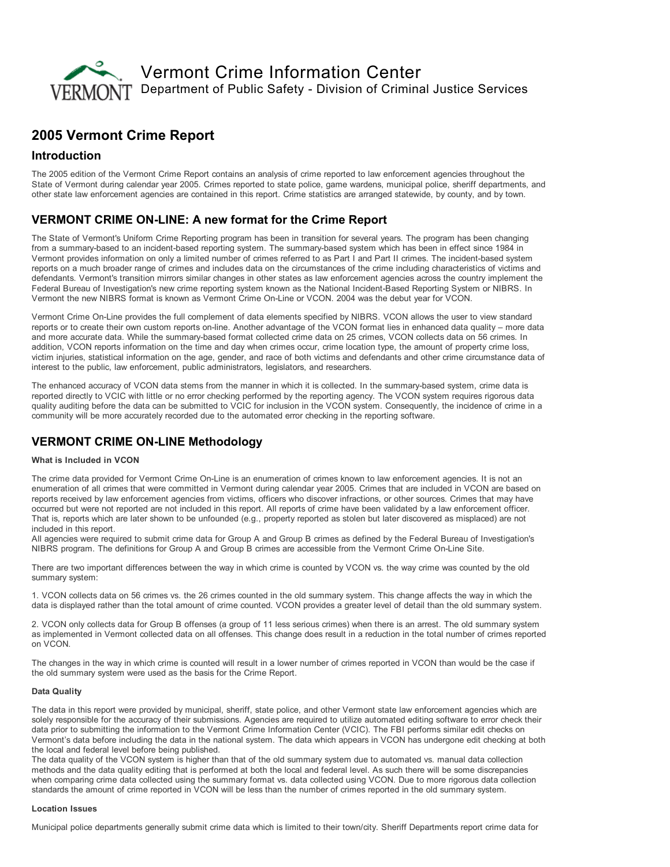

# 2005 Vermont Crime Report

### Introduction

The 2005 edition of the Vermont Crime Report contains an analysis of crime reported to law enforcement agencies throughout the State of Vermont during calendar year 2005. Crimes reported to state police, game wardens, municipal police, sheriff departments, and other state law enforcement agencies are contained in this report. Crime statistics are arranged statewide, by county, and by town.

## VERMONT CRIME ON-LINE: A new format for the Crime Report

The State of Vermont's Uniform Crime Reporting program has been in transition for several years. The program has been changing from a summary-based to an incident-based reporting system. The summary-based system which has been in effect since 1984 in Vermont provides information on only a limited number of crimes referred to as Part I and Part II crimes. The incident-based system reports on a much broader range of crimes and includes data on the circumstances of the crime including characteristics of victims and defendants. Vermont's transition mirrors similar changes in other states as law enforcement agencies across the country implement the Federal Bureau of Investigation's new crime reporting system known as the National Incident-Based Reporting System or NIBRS. In Vermont the new NIBRS format is known as Vermont Crime OnLine or VCON. 2004 was the debut year for VCON.

Vermont Crime OnLine provides the full complement of data elements specified by NIBRS. VCON allows the user to view standard reports or to create their own custom reports on-line. Another advantage of the VCON format lies in enhanced data quality – more data and more accurate data. While the summary-based format collected crime data on 25 crimes, VCON collects data on 56 crimes. In addition, VCON reports information on the time and day when crimes occur, crime location type, the amount of property crime loss, victim injuries, statistical information on the age, gender, and race of both victims and defendants and other crime circumstance data of interest to the public, law enforcement, public administrators, legislators, and researchers.

The enhanced accuracy of VCON data stems from the manner in which it is collected. In the summary-based system, crime data is reported directly to VCIC with little or no error checking performed by the reporting agency. The VCON system requires rigorous data quality auditing before the data can be submitted to VCIC for inclusion in the VCON system. Consequently, the incidence of crime in a community will be more accurately recorded due to the automated error checking in the reporting software.

## **VERMONT CRIME ON-LINE Methodology**

### What is Included in VCON

The crime data provided for Vermont Crime On-Line is an enumeration of crimes known to law enforcement agencies. It is not an enumeration of all crimes that were committed in Vermont during calendar year 2005. Crimes that are included in VCON are based on reports received by law enforcement agencies from victims, officers who discover infractions, or other sources. Crimes that may have occurred but were not reported are not included in this report. All reports of crime have been validated by a law enforcement officer. That is, reports which are later shown to be unfounded (e.g., property reported as stolen but later discovered as misplaced) are not included in this report.

All agencies were required to submit crime data for Group A and Group B crimes as defined by the Federal Bureau of Investigation's NIBRS program. The definitions for Group A and Group B crimes are accessible from the Vermont Crime On-Line Site.

There are two important differences between the way in which crime is counted by VCON vs. the way crime was counted by the old summary system:

1. VCON collects data on 56 crimes vs. the 26 crimes counted in the old summary system. This change affects the way in which the data is displayed rather than the total amount of crime counted. VCON provides a greater level of detail than the old summary system.

2. VCON only collects data for Group B offenses (a group of 11 less serious crimes) when there is an arrest. The old summary system as implemented in Vermont collected data on all offenses. This change does result in a reduction in the total number of crimes reported on VCON.

The changes in the way in which crime is counted will result in a lower number of crimes reported in VCON than would be the case if the old summary system were used as the basis for the Crime Report.

#### Data Quality

The data in this report were provided by municipal, sheriff, state police, and other Vermont state law enforcement agencies which are solely responsible for the accuracy of their submissions. Agencies are required to utilize automated editing software to error check their data prior to submitting the information to the Vermont Crime Information Center (VCIC). The FBI performs similar edit checks on Vermont's data before including the data in the national system. The data which appears in VCON has undergone edit checking at both the local and federal level before being published.

The data quality of the VCON system is higher than that of the old summary system due to automated vs. manual data collection methods and the data quality editing that is performed at both the local and federal level. As such there will be some discrepancies when comparing crime data collected using the summary format vs. data collected using VCON. Due to more rigorous data collection standards the amount of crime reported in VCON will be less than the number of crimes reported in the old summary system.

#### Location Issues

Municipal police departments generally submit crime data which is limited to their town/city. Sheriff Departments report crime data for